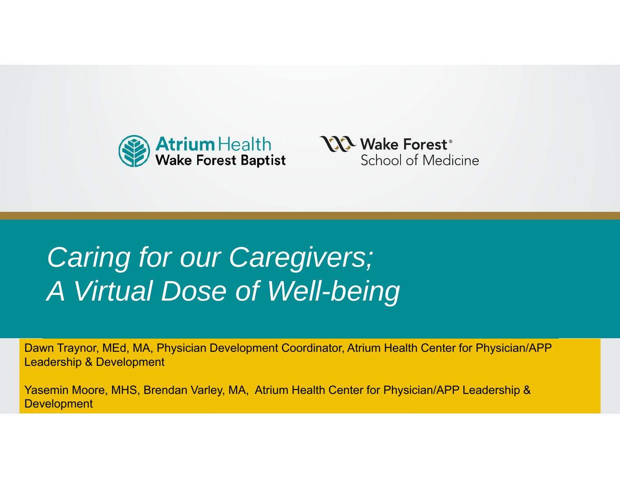



# Caring for our Caregivers; **Present** *A Virtual Dose of Well-being*

Dawn Traynor, MEd, MA, Physician Development Coordinator, Atrium Health Center for Physician/APP Leadership & Development

(osomin Moore MHC Bron Yasemin Moore, MHS, Brendan Varley, MA, Atrium Health Center for Physician/APP Leadership & **Development**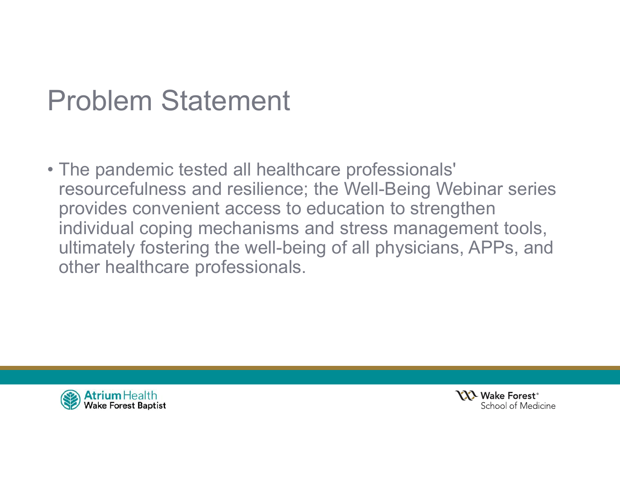### Problem Statement

• The pandemic tested all healthcare professionals' resourcefulness and resilience; the Well-Being Webinar series provides convenient access to education to strengthen individual coping mechanisms and stress management tools, ultimately fostering the well-being of all physicians, APPs, and other healthcare professionals.



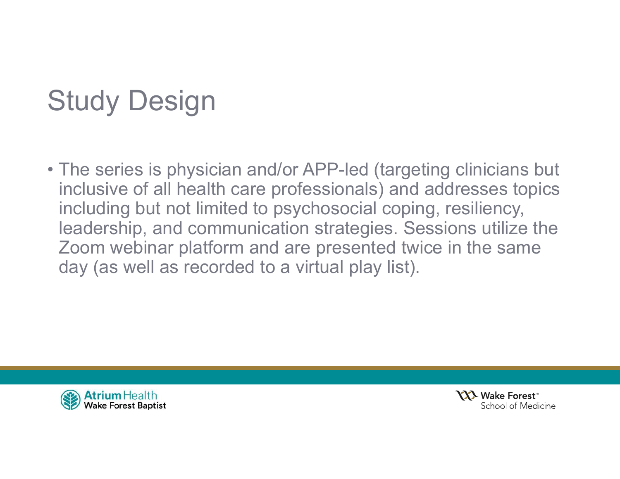# Study Design

• The series is physician and/or APP-led (targeting clinicians but inclusive of all health care professionals) and addresses topics including but not limited to psychosocial coping, resiliency, leadership, and communication strategies. Sessions utilize the Zoom webinar platform and are presented twice in the same day (as well as recorded to a virtual play list).



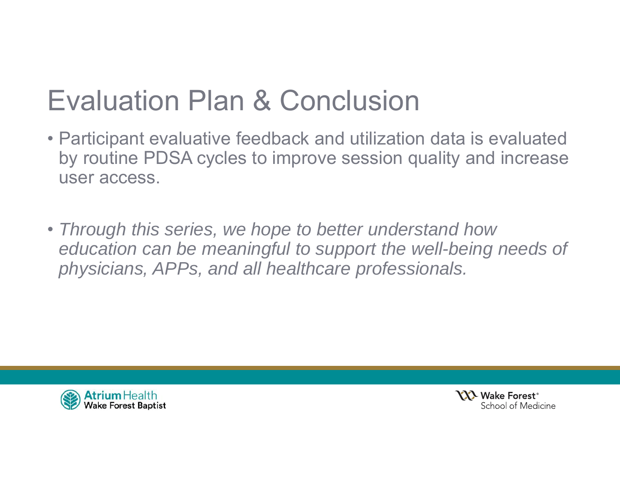## Evaluation Plan & Conclusion

- Participant evaluative feedback and utilization data is evaluated by routine PDSA cycles to improve session quality and increase user access.
- *Through this series, we hope to better understand how education can be meaningful to support the well-being needs of physicians, APPs, and all healthcare professionals.*



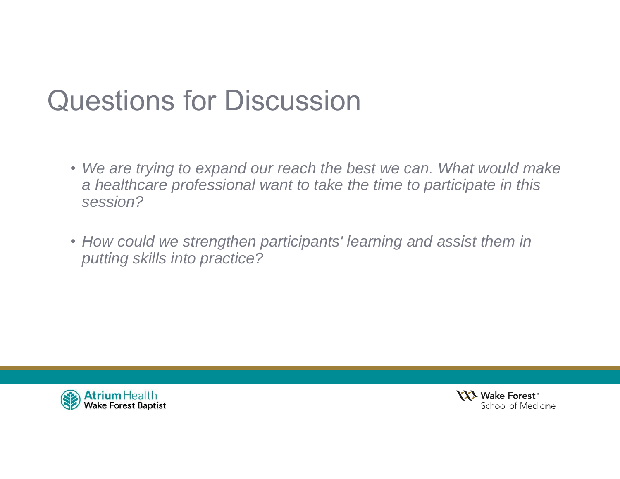### Questions for Discussion

- *We are trying to expand our reach the best we can. What would make a healthcare professional want to take the time to participate in this session?*
- *How could we strengthen participants' learning and assist them in putting skills into practice?*